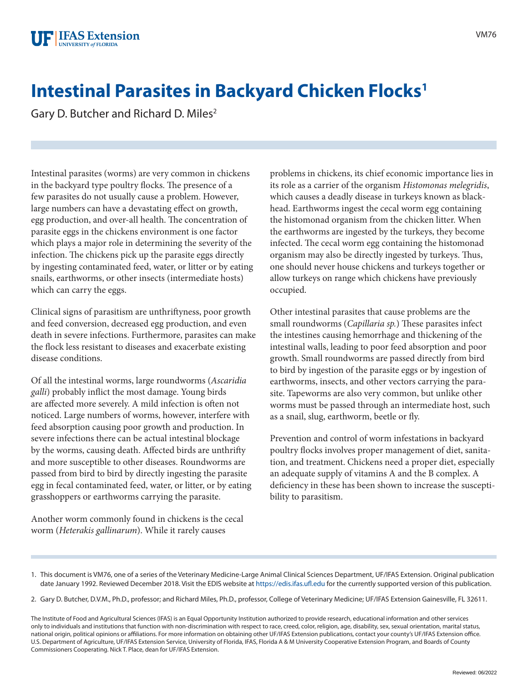## **Intestinal Parasites in Backyard Chicken Flocks<sup>1</sup>**

Gary D. Butcher and Richard D. Miles<sup>2</sup>

Intestinal parasites (worms) are very common in chickens in the backyard type poultry flocks. The presence of a few parasites do not usually cause a problem. However, large numbers can have a devastating effect on growth, egg production, and over-all health. The concentration of parasite eggs in the chickens environment is one factor which plays a major role in determining the severity of the infection. The chickens pick up the parasite eggs directly by ingesting contaminated feed, water, or litter or by eating snails, earthworms, or other insects (intermediate hosts) which can carry the eggs.

Clinical signs of parasitism are unthriftyness, poor growth and feed conversion, decreased egg production, and even death in severe infections. Furthermore, parasites can make the flock less resistant to diseases and exacerbate existing disease conditions.

Of all the intestinal worms, large roundworms (*Ascaridia galli*) probably inflict the most damage. Young birds are affected more severely. A mild infection is often not noticed. Large numbers of worms, however, interfere with feed absorption causing poor growth and production. In severe infections there can be actual intestinal blockage by the worms, causing death. Affected birds are unthrifty and more susceptible to other diseases. Roundworms are passed from bird to bird by directly ingesting the parasite egg in fecal contaminated feed, water, or litter, or by eating grasshoppers or earthworms carrying the parasite.

Another worm commonly found in chickens is the cecal worm (*Heterakis gallinarum*). While it rarely causes

problems in chickens, its chief economic importance lies in its role as a carrier of the organism *Histomonas melegridis*, which causes a deadly disease in turkeys known as blackhead. Earthworms ingest the cecal worm egg containing the histomonad organism from the chicken litter. When the earthworms are ingested by the turkeys, they become infected. The cecal worm egg containing the histomonad organism may also be directly ingested by turkeys. Thus, one should never house chickens and turkeys together or allow turkeys on range which chickens have previously occupied.

Other intestinal parasites that cause problems are the small roundworms (*Capillaria sp.*) These parasites infect the intestines causing hemorrhage and thickening of the intestinal walls, leading to poor feed absorption and poor growth. Small roundworms are passed directly from bird to bird by ingestion of the parasite eggs or by ingestion of earthworms, insects, and other vectors carrying the parasite. Tapeworms are also very common, but unlike other worms must be passed through an intermediate host, such as a snail, slug, earthworm, beetle or fly.

Prevention and control of worm infestations in backyard poultry flocks involves proper management of diet, sanitation, and treatment. Chickens need a proper diet, especially an adequate supply of vitamins A and the B complex. A deficiency in these has been shown to increase the susceptibility to parasitism.

<sup>1.</sup> This document is VM76, one of a series of the Veterinary Medicine-Large Animal Clinical Sciences Department, UF/IFAS Extension. Original publication date January 1992. Reviewed December 2018. Visit the EDIS website at <https://edis.ifas.ufl.edu> for the currently supported version of this publication.

<sup>2.</sup> Gary D. Butcher, D.V.M., Ph.D., professor; and Richard Miles, Ph.D., professor, College of Veterinary Medicine; UF/IFAS Extension Gainesville, FL 32611.

The Institute of Food and Agricultural Sciences (IFAS) is an Equal Opportunity Institution authorized to provide research, educational information and other services only to individuals and institutions that function with non-discrimination with respect to race, creed, color, religion, age, disability, sex, sexual orientation, marital status, national origin, political opinions or affiliations. For more information on obtaining other UF/IFAS Extension publications, contact your county's UF/IFAS Extension office. U.S. Department of Agriculture, UF/IFAS Extension Service, University of Florida, IFAS, Florida A & M University Cooperative Extension Program, and Boards of County Commissioners Cooperating. Nick T. Place, dean for UF/IFAS Extension.